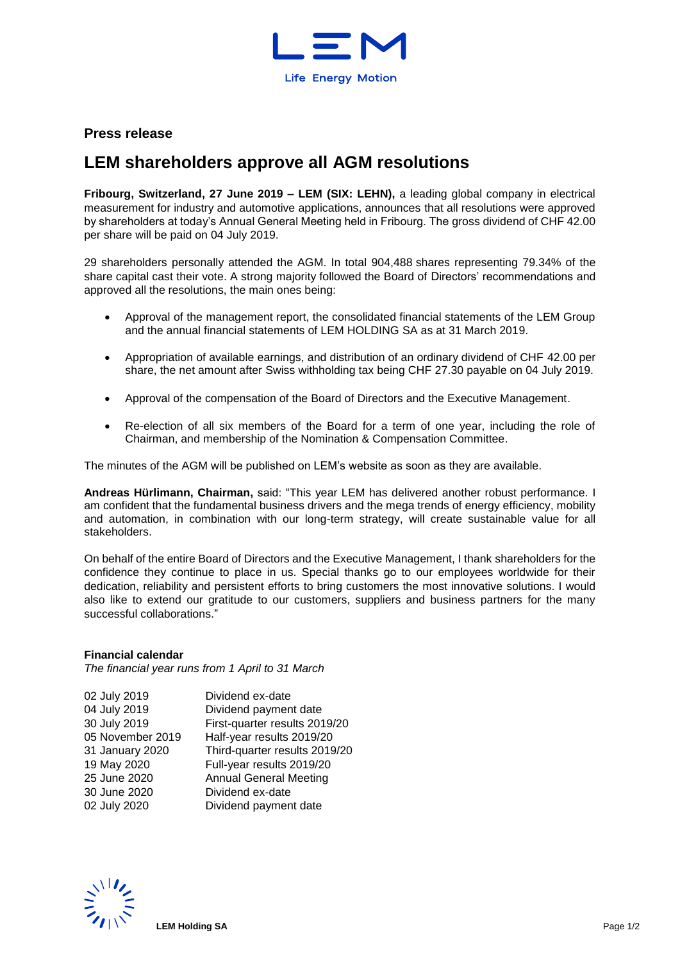

## **Press release**

## **LEM shareholders approve all AGM resolutions**

**Fribourg, Switzerland, 27 June 2019 – LEM (SIX: LEHN),** a leading global company in electrical measurement for industry and automotive applications, announces that all resolutions were approved by shareholders at today's Annual General Meeting held in Fribourg. The gross dividend of CHF 42.00 per share will be paid on 04 July 2019.

29 shareholders personally attended the AGM. In total 904,488 shares representing 79.34% of the share capital cast their vote. A strong majority followed the Board of Directors' recommendations and approved all the resolutions, the main ones being:

- Approval of the management report, the consolidated financial statements of the LEM Group and the annual financial statements of LEM HOLDING SA as at 31 March 2019.
- Appropriation of available earnings, and distribution of an ordinary dividend of CHF 42.00 per share, the net amount after Swiss withholding tax being CHF 27.30 payable on 04 July 2019.
- Approval of the compensation of the Board of Directors and the Executive Management.
- Re-election of all six members of the Board for a term of one year, including the role of Chairman, and membership of the Nomination & Compensation Committee.

The minutes of the AGM will be published on LEM's website as soon as they are available.

**Andreas Hürlimann, Chairman,** said: "This year LEM has delivered another robust performance. I am confident that the fundamental business drivers and the mega trends of energy efficiency, mobility and automation, in combination with our long-term strategy, will create sustainable value for all stakeholders.

On behalf of the entire Board of Directors and the Executive Management, I thank shareholders for the confidence they continue to place in us. Special thanks go to our employees worldwide for their dedication, reliability and persistent efforts to bring customers the most innovative solutions. I would also like to extend our gratitude to our customers, suppliers and business partners for the many successful collaborations."

## **Financial calendar**

*The financial year runs from 1 April to 31 March*

| 02 July 2019     | Dividend ex-date              |
|------------------|-------------------------------|
| 04 July 2019     | Dividend payment date         |
| 30 July 2019     | First-quarter results 2019/20 |
| 05 November 2019 | Half-year results 2019/20     |
| 31 January 2020  | Third-quarter results 2019/20 |
| 19 May 2020      | Full-year results 2019/20     |
| 25 June 2020     | <b>Annual General Meeting</b> |
| 30 June 2020     | Dividend ex-date              |
| 02 July 2020     | Dividend payment date         |
|                  |                               |